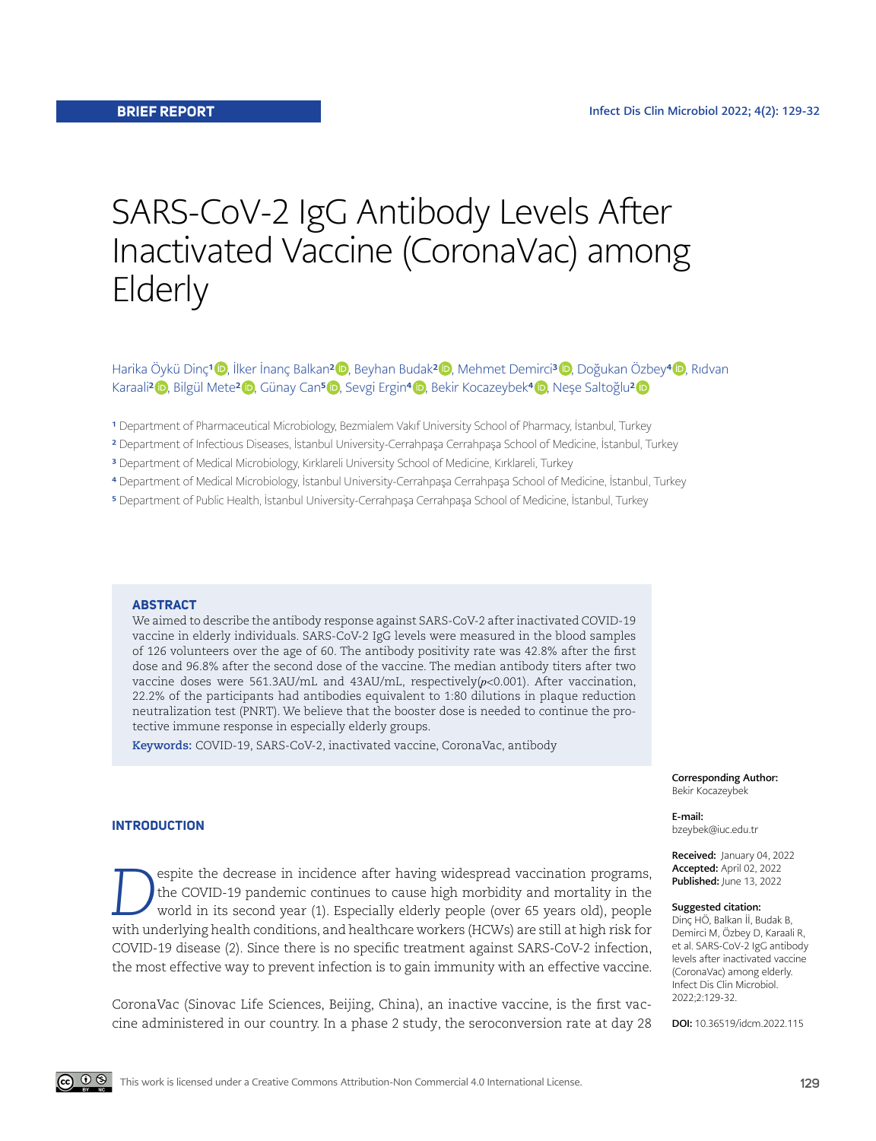# SARS-CoV-2 IgG Antibody Levels After Inactivated Vaccine (CoronaVac) among Elderly

Harika Öykü Dinç<sup>1</sup> D, İlker İnanç Balkan<sup>2</sup> D, Beyhan Budak<sup>2</sup> D, Mehmet Demirci<sup>3</sup> D, Doğukan Özbey<sup>4</sup> D, Rıdvan Karaali<sup>2</sup> [,](https://orcid.org/0000-0003-1072-3846) Bilgül Mete<sup>[2](https://orcid.org/0000-0003-4239-9585)</sup> iD, Günay Can<sup>5</sup> iD, Sevgi Ergin<sup>4</sup> iD, Bekir Kocazeybek<sup>4</sup> iD, Neşe Saltoğlu<sup>2</sup> iD

- <sup>1</sup> Department of Pharmaceutical Microbiology, Bezmialem Vakıf University School of Pharmacy, İstanbul, Turkey
- 2 Department of Infectious Diseases, İstanbul University-Cerrahpaşa Cerrahpaşa School of Medicine, İstanbul, Turkey
- 3 Department of Medical Microbiology, Kırklareli University School of Medicine, Kırklareli, Turkey
- 4 Department of Medical Microbiology, İstanbul University-Cerrahpaşa Cerrahpaşa School of Medicine, İstanbul, Turkey
- 5 Department of Public Health, İstanbul University-Cerrahpaşa Cerrahpaşa School of Medicine, İstanbul, Turkey

### **ABSTRACT**

We aimed to describe the antibody response against SARS-CoV-2 after inactivated COVID-19 vaccine in elderly individuals. SARS-CoV-2 IgG levels were measured in the blood samples of 126 volunteers over the age of 60. The antibody positivity rate was 42.8% after the first dose and 96.8% after the second dose of the vaccine. The median antibody titers after two vaccine doses were 561.3AU/mL and 43AU/mL, respectively(*p*<0.001). After vaccination, 22.2% of the participants had antibodies equivalent to 1:80 dilutions in plaque reduction neutralization test (PNRT). We believe that the booster dose is needed to continue the protective immune response in especially elderly groups.

**Keywords:** COVID-19, SARS-CoV-2, inactivated vaccine, CoronaVac, antibody

**INTRODUCTION**

espite the decrease in incidence after having widespread vaccination programs, the COVID-19 pandemic continues to cause high morbidity and mortality in the world in its second year (1). Especially elderly people (over 65 years old), people with underlying health conditions, and healthcare workers (HCWs) are still at high risk for COVID-19 disease (2). Since there is no specific treatment against SARS-CoV-2 infection, the most effective way to prevent infection is to gain immunity with an effective vaccine.

CoronaVac (Sinovac Life Sciences, Beijing, China), an inactive vaccine, is the first vaccine administered in our country. In a phase 2 study, the seroconversion rate at day 28 Corresponding Author: Bekir Kocazeybek

E-mail: bzeybek@iuc.edu.tr

Received: January 04, 2022 Accepted: April 02, 2022 Published: June 13, 2022

#### Suggested citation:

Dinç HÖ, Balkan İİ, Budak B, Demirci M, Özbey D, Karaali R, et al. SARS-CoV-2 IgG antibody levels after inactivated vaccine (CoronaVac) among elderly. Infect Dis Clin Microbiol. 2022;2:129-32.

DOI: 10.36519/idcm.2022.115

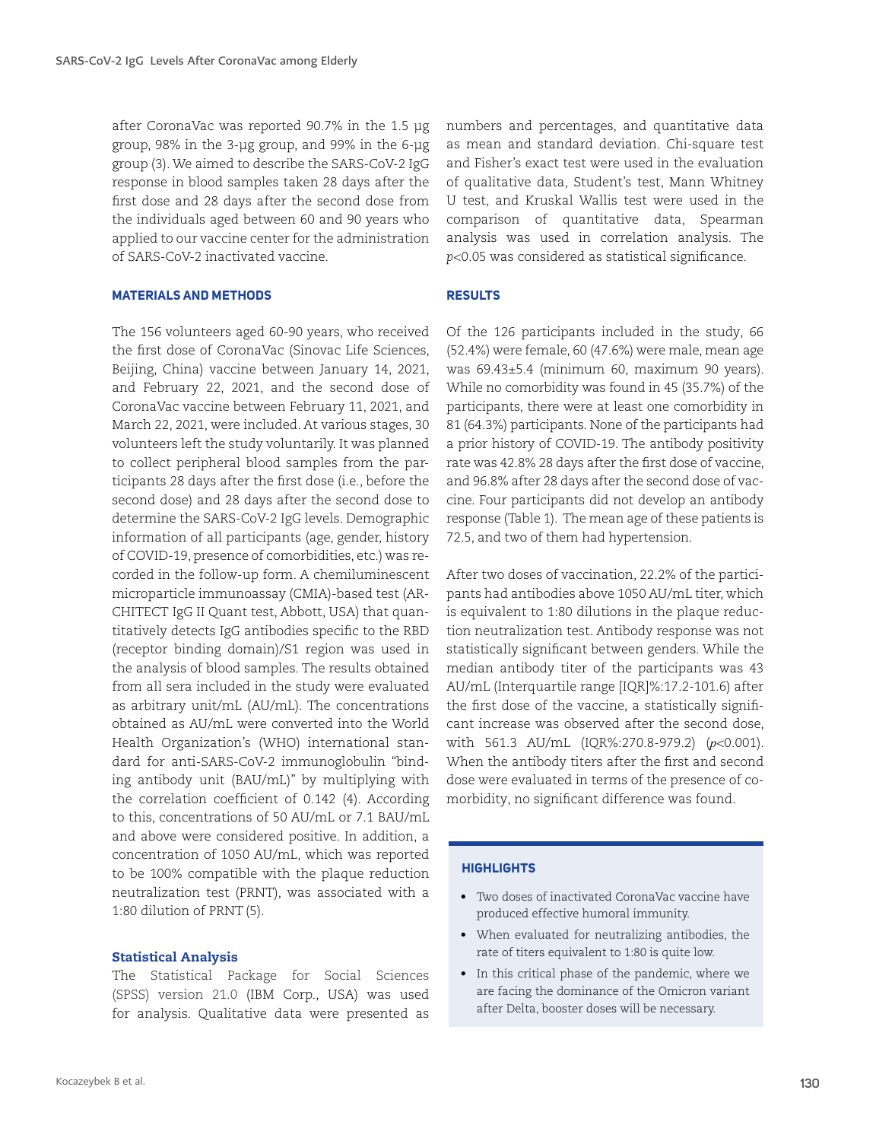after CoronaVac was reported 90.7% in the 1.5 µg group, 98% in the 3-µg group, and 99% in the 6-µg group (3). We aimed to describe the SARS-CoV-2 IgG response in blood samples taken 28 days after the first dose and 28 days after the second dose from the individuals aged between 60 and 90 years who applied to our vaccine center for the administration of SARS-CoV-2 inactivated vaccine.

## **MATERIALS AND METHODS**

The 156 volunteers aged 60-90 years, who received the first dose of CoronaVac (Sinovac Life Sciences, Beijing, China) vaccine between January 14, 2021, and February 22, 2021, and the second dose of CoronaVac vaccine between February 11, 2021, and March 22, 2021, were included. At various stages, 30 volunteers left the study voluntarily. It was planned to collect peripheral blood samples from the participants 28 days after the first dose (i.e., before the second dose) and 28 days after the second dose to determine the SARS-CoV-2 IgG levels. Demographic information of all participants (age, gender, history of COVID-19, presence of comorbidities, etc.) was recorded in the follow-up form. A chemiluminescent microparticle immunoassay (CMIA)-based test (AR-CHITECT IgG II Quant test, Abbott, USA) that quantitatively detects IgG antibodies specific to the RBD (receptor binding domain)/S1 region was used in the analysis of blood samples. The results obtained from all sera included in the study were evaluated as arbitrary unit/mL (AU/mL). The concentrations obtained as AU/mL were converted into the World Health Organization's (WHO) international standard for anti-SARS-CoV-2 immunoglobulin "binding antibody unit (BAU/mL)" by multiplying with the correlation coefficient of 0.142 (4). According to this, concentrations of 50 AU/mL or 7.1 BAU/mL and above were considered positive. In addition, a concentration of 1050 AU/mL, which was reported to be 100% compatible with the plaque reduction neutralization test (PRNT), was associated with a 1:80 dilution of PRNT(5).

# Statistical Analysis

The Statistical Package for Social Sciences (SPSS) version 21.0 (IBM Corp., USA) was used for analysis. Qualitative data were presented as numbers and percentages, and quantitative data as mean and standard deviation. Chi-square test and Fisher's exact test were used in the evaluation of qualitative data, Student's test, Mann Whitney U test, and Kruskal Wallis test were used in the comparison of quantitative data, Spearman analysis was used in correlation analysis. The *p*<0.05 was considered as statistical significance.

# **RESULTS**

Of the 126 participants included in the study, 66 (52.4%) were female, 60 (47.6%) were male, mean age was 69.43±5.4 (minimum 60, maximum 90 years). While no comorbidity was found in 45 (35.7%) of the participants, there were at least one comorbidity in 81 (64.3%) participants. None of the participants had a prior history of COVID-19. The antibody positivity rate was 42.8% 28 days after the first dose of vaccine, and 96.8% after 28 days after the second dose of vaccine. Four participants did not develop an antibody response (Table 1). The mean age of these patients is 72.5, and two of them had hypertension.

After two doses of vaccination, 22.2% of the participants had antibodies above 1050 AU/mL titer, which is equivalent to 1:80 dilutions in the plaque reduction neutralization test. Antibody response was not statistically significant between genders. While the median antibody titer of the participants was 43 AU/mL (Interquartile range [IQR]%:17.2-101.6) after the first dose of the vaccine, a statistically significant increase was observed after the second dose, with 561.3 AU/mL (IQR%:270.8-979.2) (*p*<0.001). When the antibody titers after the first and second dose were evaluated in terms of the presence of comorbidity, no significant difference was found.

# **HIGHLIGHTS**

- Two doses of inactivated CoronaVac vaccine have produced effective humoral immunity.
- When evaluated for neutralizing antibodies, the rate of titers equivalent to 1:80 is quite low.
- In this critical phase of the pandemic, where we are facing the dominance of the Omicron variant after Delta, booster doses will be necessary.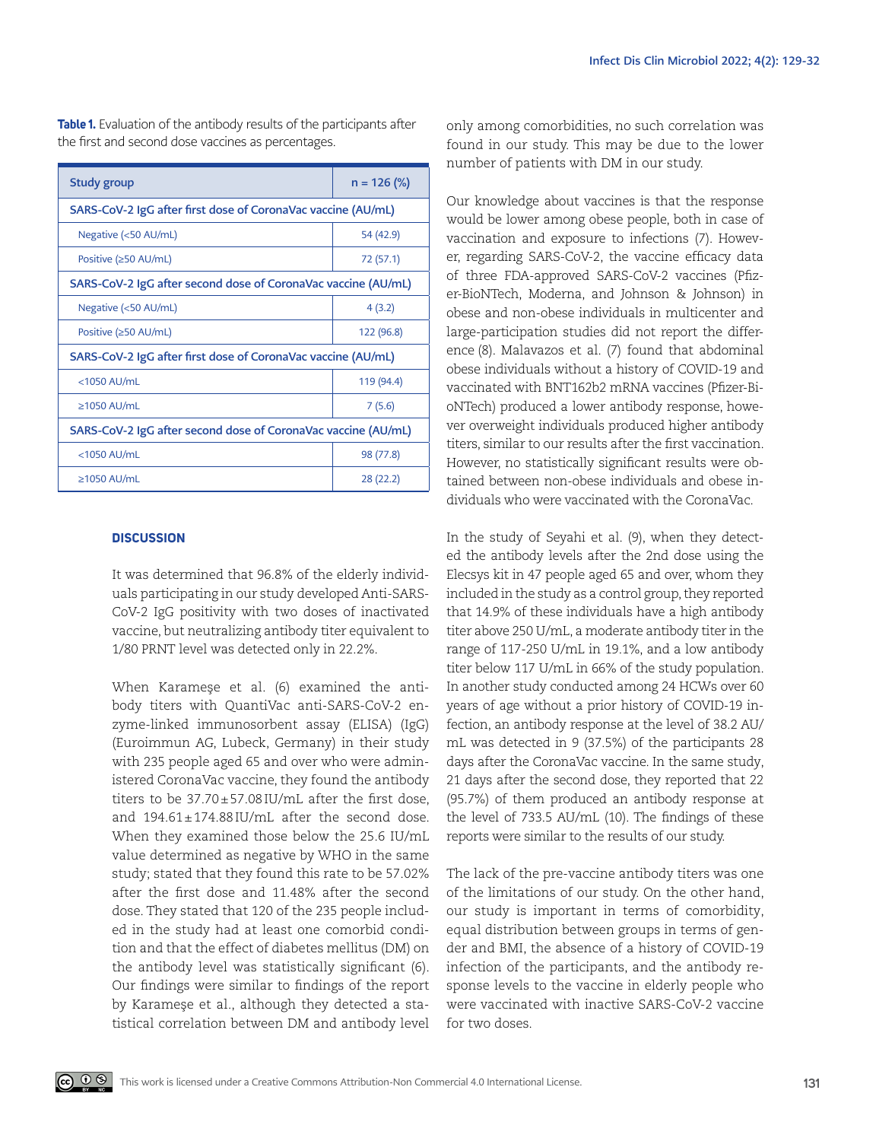| Study group                                                   | $n = 126$ (%) |
|---------------------------------------------------------------|---------------|
| SARS-CoV-2 IgG after first dose of CoronaVac vaccine (AU/mL)  |               |
| Negative (<50 AU/mL)                                          | 54 (42.9)     |
| Positive (≥50 AU/mL)                                          | 72 (57.1)     |
| SARS-CoV-2 IgG after second dose of CoronaVac vaccine (AU/mL) |               |
| Negative (<50 AU/mL)                                          | 4(3.2)        |
| Positive (≥50 AU/mL)                                          | 122 (96.8)    |
| SARS-CoV-2 IgG after first dose of CoronaVac vaccine (AU/mL)  |               |
| <1050 AU/mL                                                   | 119 (94.4)    |
| $\geq$ 1050 AU/mL                                             | 7(5.6)        |
| SARS-CoV-2 IgG after second dose of CoronaVac vaccine (AU/mL) |               |
| $<$ 1050 AU/mL                                                | 98 (77.8)     |
| $\geq$ 1050 AU/mL                                             | 28 (22.2)     |

**Table 1.** Evaluation of the antibody results of the participants after the first and second dose vaccines as percentages.

# **DISCUSSION**

It was determined that 96.8% of the elderly individuals participating in our study developed Anti-SARS-CoV-2 IgG positivity with two doses of inactivated vaccine, but neutralizing antibody titer equivalent to 1/80 PRNT level was detected only in 22.2%.

When Karameşe et al. (6) examined the antibody titers with QuantiVac anti-SARS-CoV-2 enzyme-linked immunosorbent assay (ELISA) (IgG) (Euroimmun AG, Lubeck, Germany) in their study with 235 people aged 65 and over who were administered CoronaVac vaccine, they found the antibody titers to be 37.70±57.08IU/mL after the first dose, and 194.61±174.88IU/mL after the second dose. When they examined those below the 25.6 IU/mL value determined as negative by WHO in the same study; stated that they found this rate to be 57.02% after the first dose and 11.48% after the second dose. They stated that 120 of the 235 people included in the study had at least one comorbid condition and that the effect of diabetes mellitus (DM) on the antibody level was statistically significant (6). Our findings were similar to findings of the report by Karameşe et al., although they detected a statistical correlation between DM and antibody level only among comorbidities, no such correlation was found in our study. This may be due to the lower number of patients with DM in our study.

Our knowledge about vaccines is that the response would be lower among obese people, both in case of vaccination and exposure to infections (7). However, regarding SARS-CoV-2, the vaccine efficacy data of three FDA-approved SARS-CoV-2 vaccines (Pfizer-BioNTech, Moderna, and Johnson & Johnson) in obese and non-obese individuals in multicenter and large-participation studies did not report the difference (8). Malavazos et al. (7) found that abdominal obese individuals without a history of COVID-19 and vaccinated with BNT162b2 mRNA vaccines (Pfizer-BioNTech) produced a lower antibody response, however overweight individuals produced higher antibody titers, similar to our results after the first vaccination. However, no statistically significant results were obtained between non-obese individuals and obese individuals who were vaccinated with the CoronaVac.

In the study of Seyahi et al. (9), when they detected the antibody levels after the 2nd dose using the Elecsys kit in 47 people aged 65 and over, whom they included in the study as a control group, they reported that 14.9% of these individuals have a high antibody titer above 250 U/mL, a moderate antibody titer in the range of 117-250 U/mL in 19.1%, and a low antibody titer below 117 U/mL in 66% of the study population. In another study conducted among 24 HCWs over 60 years of age without a prior history of COVID-19 infection, an antibody response at the level of 38.2 AU/ mL was detected in 9 (37.5%) of the participants 28 days after the CoronaVac vaccine. In the same study, 21 days after the second dose, they reported that 22 (95.7%) of them produced an antibody response at the level of 733.5 AU/mL (10). The findings of these reports were similar to the results of our study.

The lack of the pre-vaccine antibody titers was one of the limitations of our study. On the other hand, our study is important in terms of comorbidity, equal distribution between groups in terms of gender and BMI, the absence of a history of COVID-19 infection of the participants, and the antibody response levels to the vaccine in elderly people who were vaccinated with inactive SARS-CoV-2 vaccine for two doses.